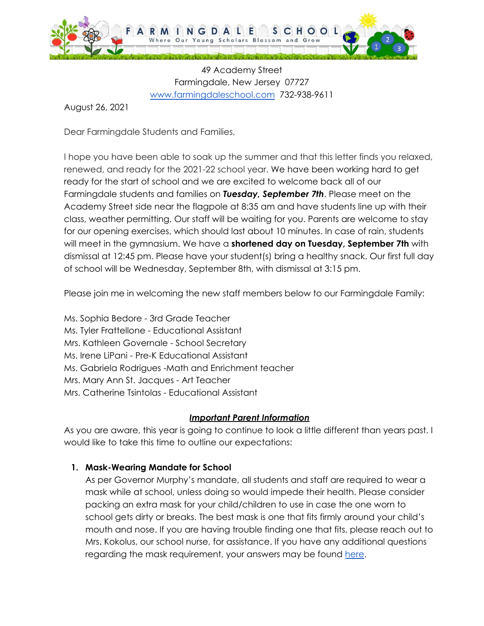

49 Academy Street Farmingdale, New Jersey 07727 [www.farmingdaleschool.com](http://www.farmingdaleschooo.com) 732-938-9611

August 26, 2021

Dear Farmingdale Students and Families,

I hope you have been able to soak up the summer and that this letter finds you relaxed, renewed, and ready for the 2021-22 school year. We have been working hard to get ready for the start of school and we are excited to welcome back all of our Farmingdale students and families on *Tuesday, September 7th*. Please meet on the Academy Street side near the flagpole at 8:35 am and have students line up with their class, weather permitting. Our staff will be waiting for you. Parents are welcome to stay for our opening exercises, which should last about 10 minutes. In case of rain, students will meet in the gymnasium. We have a **shortened day on Tuesday, September 7th** with dismissal at 12:45 pm. Please have your student(s) bring a healthy snack. Our first full day of school will be Wednesday, September 8th, with dismissal at 3:15 pm.

Please join me in welcoming the new staff members below to our Farmingdale Family:

Ms. Sophia Bedore - 3rd Grade Teacher Ms. Tyler Frattellone - Educational Assistant Mrs. Kathleen Governale - School Secretary Ms. Irene LiPani - Pre-K Educational Assistant Ms. Gabriela Rodrigues -Math and Enrichment teacher Mrs. Mary Ann St. Jacques - Art Teacher Mrs. Catherine Tsintolas - Educational Assistant

#### *Important Parent Information*

As you are aware, this year is going to continue to look a little different than years past. I would like to take this time to outline our expectations:

# **1. Mask-Wearing Mandate for School**

As per Governor Murphy's mandate, all students and staff are required to wear a mask while at school, unless doing so would impede their health. Please consider packing an extra mask for your child/children to use in case the one worn to school gets dirty or breaks. The best mask is one that fits firmly around your child's mouth and nose. If you are having trouble finding one that fits, please reach out to Mrs. Kokolus, our school nurse, for assistance. If you have any additional questions regarding the mask requirement, your answers may be found [here.](http://farmingdaleschool.com/Portals/0/21-22%20Farmingdale%20Mask%20Mandate%20Protocol.pdf)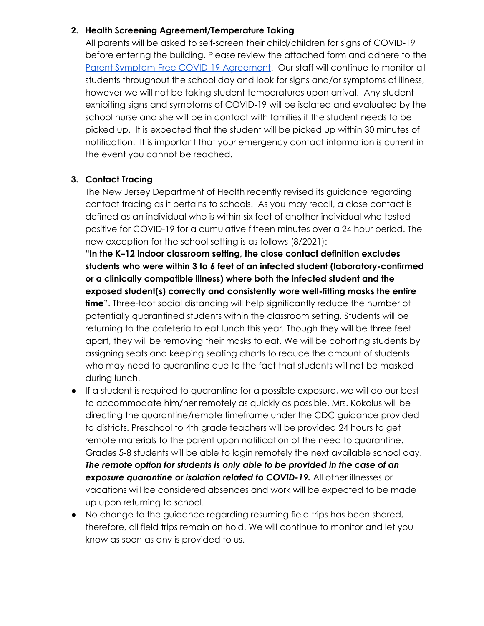### **2. Health Screening Agreement/Temperature Taking**

All parents will be asked to self-screen their child/children for signs of COVID-19 before entering the building. Please review the attached form and adhere to the Parent [Symptom-Free](http://www.farmingdaleschool.com/Portals/0/20-21%20Farmingdale%20Health%20Parent%20Expectations%20-%20Symptom%20Check.pdf) COVID-19 Agreement. Our staff will continue to monitor all students throughout the school day and look for signs and/or symptoms of illness, however we will not be taking student temperatures upon arrival. Any student exhibiting signs and symptoms of COVID-19 will be isolated and evaluated by the school nurse and she will be in contact with families if the student needs to be picked up. It is expected that the student will be picked up within 30 minutes of notification. It is important that your emergency contact information is current in the event you cannot be reached.

# **3. Contact Tracing**

The New Jersey Department of Health recently revised its guidance regarding contact tracing as it pertains to schools. As you may recall, a close contact is defined as an individual who is within six feet of another individual who tested positive for COVID-19 for a cumulative fifteen minutes over a 24 hour period. The new exception for the school setting is as follows (8/2021):

**"In the K–12 indoor classroom setting, the close contact definition excludes students who were within 3 to 6 feet of an infected student (laboratory-confirmed or a clinically compatible illness) where both the infected student and the exposed student(s) correctly and consistently wore well-fitting masks the entire time**". Three-foot social distancing will help significantly reduce the number of potentially quarantined students within the classroom setting. Students will be returning to the cafeteria to eat lunch this year. Though they will be three feet apart, they will be removing their masks to eat. We will be cohorting students by assigning seats and keeping seating charts to reduce the amount of students who may need to quarantine due to the fact that students will not be masked during lunch.

- If a student is required to quarantine for a possible exposure, we will do our best to accommodate him/her remotely as quickly as possible. Mrs. Kokolus will be directing the quarantine/remote timeframe under the CDC guidance provided to districts. Preschool to 4th grade teachers will be provided 24 hours to get remote materials to the parent upon notification of the need to quarantine. Grades 5-8 students will be able to login remotely the next available school day. *The remote option for students is only able to be provided in the case of an exposure quarantine or isolation related to COVID-19.* All other illnesses or vacations will be considered absences and work will be expected to be made up upon returning to school.
- No change to the guidance regarding resuming field trips has been shared, therefore, all field trips remain on hold. We will continue to monitor and let you know as soon as any is provided to us.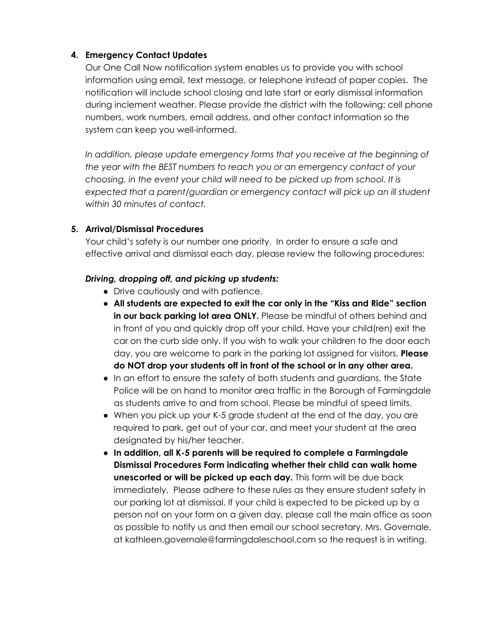## **4. Emergency Contact Updates**

Our One Call Now notification system enables us to provide you with school information using email, text message, or telephone instead of paper copies. The notification will include school closing and late start or early dismissal information during inclement weather. Please provide the district with the following: cell phone numbers, work numbers, email address, and other contact information so the system can keep you well-informed.

*In addition, please update emergency forms that you receive at the beginning of the year with the BEST numbers to reach you or an emergency contact of your choosing, in the event your child will need to be picked up from school. It is expected that a parent/guardian or emergency contact will pick up an ill student within 30 minutes of contact.*

## **5. Arrival/Dismissal Procedures**

Your child's safety is our number one priority. In order to ensure a safe and effective arrival and dismissal each day, please review the following procedures:

## *Driving, dropping off, and picking up students:*

- Drive cautiously and with patience.
- **All students are expected to exit the car only in the "Kiss and Ride" section in our back parking lot area ONLY.** Please be mindful of others behind and in front of you and quickly drop off your child. Have your child(ren) exit the car on the curb side only. If you wish to walk your children to the door each day, you are welcome to park in the parking lot assigned for visitors. **Please do NOT drop your students off in front of the school or in any other area.**
- In an effort to ensure the safety of both students and guardians, the State Police will be on hand to monitor area traffic in the Borough of Farmingdale as students arrive to and from school. Please be mindful of speed limits.
- When you pick up your K-5 grade student at the end of the day, you are required to park, get out of your car, and meet your student at the area designated by his/her teacher.
- **In addition, all K-5 parents will be required to complete a Farmingdale Dismissal Procedures Form indicating whether their child can walk home unescorted or will be picked up each day.** This form will be due back immediately. Please adhere to these rules as they ensure student safety in our parking lot at dismissal. If your child is expected to be picked up by a person not on your form on a given day, please call the main office as soon as possible to notify us and then email our school secretary, Mrs. Governale, at kathleen.governale@farmingdaleschool.com so the request is in writing.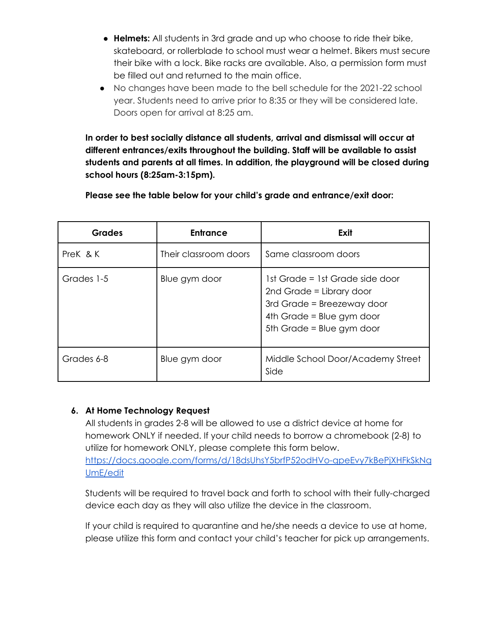- **Helmets:** All students in 3rd grade and up who choose to ride their bike, skateboard, or rollerblade to school must wear a helmet. Bikers must secure their bike with a lock. Bike racks are available. Also, a permission form must be filled out and returned to the main office.
- No changes have been made to the bell schedule for the 2021-22 school year. Students need to arrive prior to 8:35 or they will be considered late. Doors open for arrival at 8:25 am.

**In order to best socially distance all students, arrival and dismissal will occur at different entrances/exits throughout the building. Staff will be available to assist students and parents at all times. In addition, the playground will be closed during school hours (8:25am-3:15pm).**

**Please see the table below for your child's grade and entrance/exit door:**

| <b>Grades</b> | <b>Entrance</b>       | Exit                                                                                                                                                |
|---------------|-----------------------|-----------------------------------------------------------------------------------------------------------------------------------------------------|
| Prek & K      | Their classroom doors | Same classroom doors                                                                                                                                |
| Grades 1-5    | Blue gym door         | 1st Grade = 1st Grade side door<br>2nd Grade = Library door<br>3rd Grade = Breezeway door<br>4th Grade = Blue gym door<br>5th Grade = Blue gym door |
| Grades 6-8    | Blue gym door         | Middle School Door/Academy Street<br>Side                                                                                                           |

#### **6. At Home Technology Request**

All students in grades 2-8 will be allowed to use a district device at home for homework ONLY if needed. If your child needs to borrow a chromebook (2-8) to utilize for homework ONLY, please complete this form below. [https://docs.google.com/forms/d/18dsUhsY5brfP52odHVo-qpeEvy7kBePjXHFkSkNq](https://docs.google.com/forms/d/18dsUhsY5brfP52odHVo-qpeEvy7kBePjXHFkSkNqUmE/edit) [UmE/edit](https://docs.google.com/forms/d/18dsUhsY5brfP52odHVo-qpeEvy7kBePjXHFkSkNqUmE/edit)

Students will be required to travel back and forth to school with their fully-charged device each day as they will also utilize the device in the classroom.

If your child is required to quarantine and he/she needs a device to use at home, please utilize this form and contact your child's teacher for pick up arrangements.